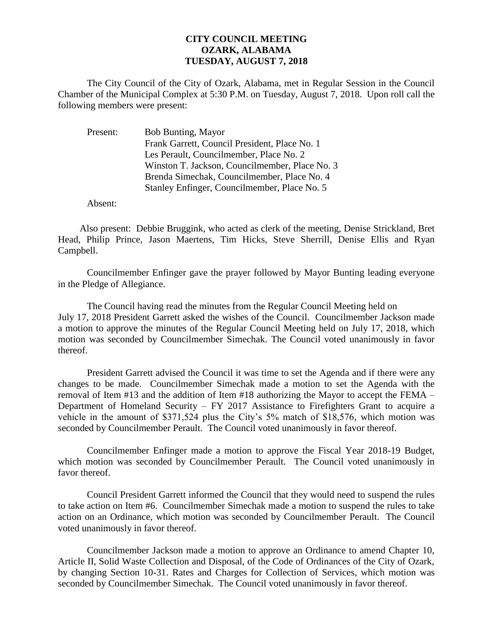## **CITY COUNCIL MEETING OZARK, ALABAMA TUESDAY, AUGUST 7, 2018**

The City Council of the City of Ozark, Alabama, met in Regular Session in the Council Chamber of the Municipal Complex at 5:30 P.M. on Tuesday, August 7, 2018. Upon roll call the following members were present:

| Present: | <b>Bob Bunting, Mayor</b>                      |
|----------|------------------------------------------------|
|          | Frank Garrett, Council President, Place No. 1  |
|          | Les Perault, Councilmember, Place No. 2        |
|          | Winston T. Jackson, Councilmember, Place No. 3 |
|          | Brenda Simechak, Councilmember, Place No. 4    |
|          | Stanley Enfinger, Councilmember, Place No. 5   |

Absent:

Also present: Debbie Bruggink, who acted as clerk of the meeting, Denise Strickland, Bret Head, Philip Prince, Jason Maertens, Tim Hicks, Steve Sherrill, Denise Ellis and Ryan Campbell.

Councilmember Enfinger gave the prayer followed by Mayor Bunting leading everyone in the Pledge of Allegiance.

The Council having read the minutes from the Regular Council Meeting held on July 17, 2018 President Garrett asked the wishes of the Council. Councilmember Jackson made a motion to approve the minutes of the Regular Council Meeting held on July 17, 2018, which motion was seconded by Councilmember Simechak. The Council voted unanimously in favor thereof.

President Garrett advised the Council it was time to set the Agenda and if there were any changes to be made. Councilmember Simechak made a motion to set the Agenda with the removal of Item #13 and the addition of Item #18 authorizing the Mayor to accept the FEMA – Department of Homeland Security – FY 2017 Assistance to Firefighters Grant to acquire a vehicle in the amount of \$371,524 plus the City's 5% match of \$18,576, which motion was seconded by Councilmember Perault. The Council voted unanimously in favor thereof.

Councilmember Enfinger made a motion to approve the Fiscal Year 2018-19 Budget, which motion was seconded by Councilmember Perault. The Council voted unanimously in favor thereof.

Council President Garrett informed the Council that they would need to suspend the rules to take action on Item #6. Councilmember Simechak made a motion to suspend the rules to take action on an Ordinance, which motion was seconded by Councilmember Perault. The Council voted unanimously in favor thereof.

Councilmember Jackson made a motion to approve an Ordinance to amend Chapter 10, Article II, Solid Waste Collection and Disposal, of the Code of Ordinances of the City of Ozark, by changing Section 10-31. Rates and Charges for Collection of Services, which motion was seconded by Councilmember Simechak. The Council voted unanimously in favor thereof.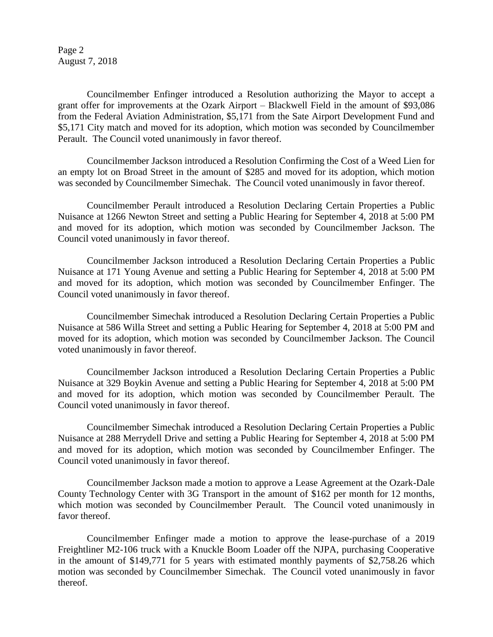Page 2 August 7, 2018

Councilmember Enfinger introduced a Resolution authorizing the Mayor to accept a grant offer for improvements at the Ozark Airport – Blackwell Field in the amount of \$93,086 from the Federal Aviation Administration, \$5,171 from the Sate Airport Development Fund and \$5,171 City match and moved for its adoption, which motion was seconded by Councilmember Perault. The Council voted unanimously in favor thereof.

Councilmember Jackson introduced a Resolution Confirming the Cost of a Weed Lien for an empty lot on Broad Street in the amount of \$285 and moved for its adoption, which motion was seconded by Councilmember Simechak. The Council voted unanimously in favor thereof.

Councilmember Perault introduced a Resolution Declaring Certain Properties a Public Nuisance at 1266 Newton Street and setting a Public Hearing for September 4, 2018 at 5:00 PM and moved for its adoption, which motion was seconded by Councilmember Jackson. The Council voted unanimously in favor thereof.

Councilmember Jackson introduced a Resolution Declaring Certain Properties a Public Nuisance at 171 Young Avenue and setting a Public Hearing for September 4, 2018 at 5:00 PM and moved for its adoption, which motion was seconded by Councilmember Enfinger. The Council voted unanimously in favor thereof.

Councilmember Simechak introduced a Resolution Declaring Certain Properties a Public Nuisance at 586 Willa Street and setting a Public Hearing for September 4, 2018 at 5:00 PM and moved for its adoption, which motion was seconded by Councilmember Jackson. The Council voted unanimously in favor thereof.

Councilmember Jackson introduced a Resolution Declaring Certain Properties a Public Nuisance at 329 Boykin Avenue and setting a Public Hearing for September 4, 2018 at 5:00 PM and moved for its adoption, which motion was seconded by Councilmember Perault. The Council voted unanimously in favor thereof.

Councilmember Simechak introduced a Resolution Declaring Certain Properties a Public Nuisance at 288 Merrydell Drive and setting a Public Hearing for September 4, 2018 at 5:00 PM and moved for its adoption, which motion was seconded by Councilmember Enfinger. The Council voted unanimously in favor thereof.

Councilmember Jackson made a motion to approve a Lease Agreement at the Ozark-Dale County Technology Center with 3G Transport in the amount of \$162 per month for 12 months, which motion was seconded by Councilmember Perault. The Council voted unanimously in favor thereof.

Councilmember Enfinger made a motion to approve the lease-purchase of a 2019 Freightliner M2-106 truck with a Knuckle Boom Loader off the NJPA, purchasing Cooperative in the amount of \$149,771 for 5 years with estimated monthly payments of \$2,758.26 which motion was seconded by Councilmember Simechak. The Council voted unanimously in favor thereof.